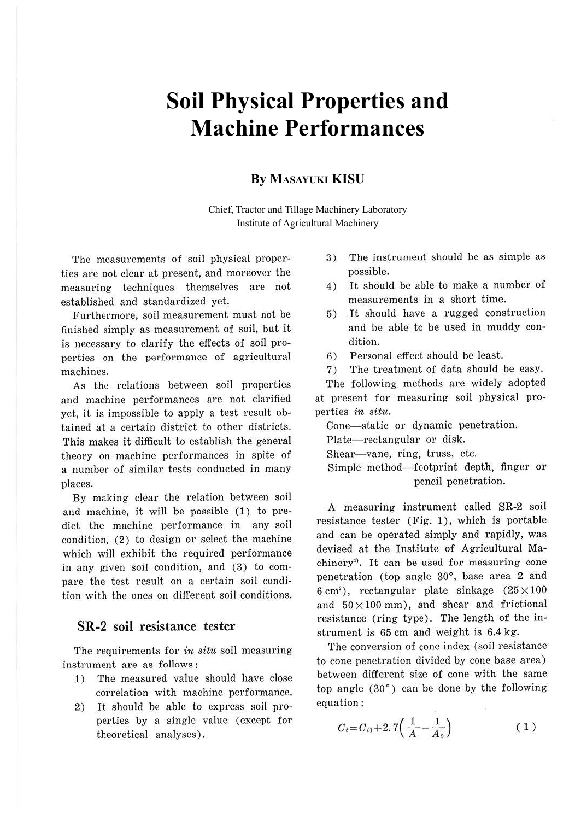# **Soil Physical Properties and Machine Performances**

# **By MASAYUKI KISU**

Chief, Tractor and Tillage Machinery Laboratory Institute of Agricultural Machinery

The measurements of soil physical properties are not clear at present, and moreover the measuring techniques themselves are not established and standardized yet.

Furthermore, soil measurement must not be finished simply as measurement of soil, but it is necessary to clarify the effects of soil properties on the performance of agricultural machines.

As the relations between soil properties and machine performances are not clarified yet, it is impossible to apply a test result obtained at a certain district to other districts. This makes it difficult to establish the general theory on machine performances in spite of a number of similar tests conducted in many places.

By making clear the relation between soil and machine, it will be possible (1) to predict the machine performance in any soil condition, (2) to design or select the machine which will exhibit the required performance in any given soil condition, and (3) to compare the test result on a certain soil condition with the ones on different soil conditions.

# **SR-2 soil resistance tester**

The requirements for *in situ* soil measuring instrument are as follows:

- 1) The measured value should have close correlation with machine performance.
- 2) It should be able to express soil properties by a single value (except for theoretical analyses).
- 3) The instrument should be as simple as possible.
- 4) It should be able to make a number of measurements in a short time.
- 5) It should have a rugged construction and be able to be used in muddy condition.
- 6) Personal effect should be least.
- 7) The treatment of data should be easy.

The following methods are widely adopted at present for measuring soil physical properties *in situ.* 

Cone-static or dynamic penetration.

Plate-rectangular or disk.

Shear-vane, ring, truss, etc.

Simple method-footprint depth, finger or pencil penetration.

A measuring instrument called SR-2 soil resistance tester (Fig. **1),** which is portable and can be operated simply and rapidly, was devised at the Institute of Agricultural Machinery'>. It can be used for measuring cone penetration (top angle 30°, base area 2 and 6 cm<sup>2</sup>), rectangular plate sinkage  $(25 \times 100)$ and  $50\times100$  mm), and shear and frictional resistance (ring type). The length of the instrument is 65 cm and weight is 6.4 kg.

The conversion of cone index (soil resistance to cone penetration divided by cone base area) between different size of cone with the same top angle (30°) can be done by the following equation:

$$
C_i = C_{i_0} + 2.7\left(\frac{1}{A} - \frac{1}{A_0}\right) \tag{1}
$$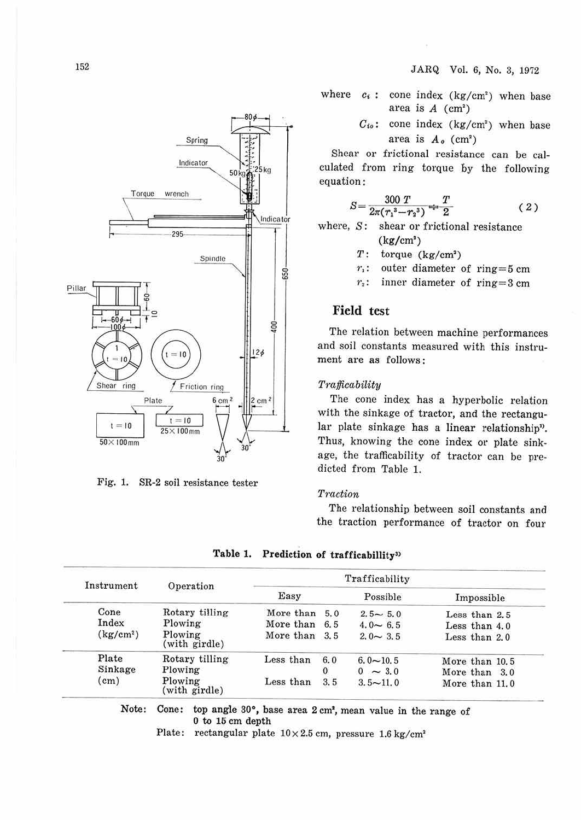where  $c_i$ : cone index  $(kg/cm^2)$  when base area is  $A$  (cm<sup>2</sup>)

> *Cto:* cone index (kg/cm') when base area is  $A_o$  (cm<sup>2</sup>)

Shear or frictional resistance can be calculated from ring torque by the following equation:

$$
S = \frac{300 T}{2\pi (r_1^3 - r_2^3)} \stackrel{+}{\to} \frac{T}{2}
$$
 (2)

where, S: shear or frictional resistance  $(kg/cm^2)$ 

- $T:$  torque  $(kg/cm<sup>2</sup>)$
- $r_i$ : outer diameter of ring = 5 cm
- $r_2$ : inner diameter of ring=3 cm

# **Field test**

The relation between machine performances and soil constants measured with this instrument are as follows :

#### *Trafficability*

The cone index has a hyperbolic relation with the sinkage of tractor, and the rectangular plate sinkage has a linear relationship". Thus, knowing the cone index or plate sinkage, the trafficability of tractor can be predicted from Table 1.

#### *Traction*

The relationship between soil constants and the traction performance of tractor on four

| Instrument            | Operation                | Trafficability |          |                 |                 |
|-----------------------|--------------------------|----------------|----------|-----------------|-----------------|
|                       |                          | Easy           |          | Possible        | Impossible      |
| Cone                  | Rotary tilling           | More than      | 5.0      | $2.5 - 5.0$     | Less than $2.5$ |
| Index                 | Plowing                  | More than 6.5  |          | $4.0 - 6.5$     | Less than $4.0$ |
| (kg/cm <sup>2</sup> ) | Plowing<br>(with girdle) | More than 3.5  |          | $2.0 \sim 3.5$  | Less than 2.0   |
| Plate                 | Rotary tilling           | Less than      | 6.0      | $6.0 \sim 10.5$ | More than 10.5  |
| Sinkage               | Plowing                  |                | $\Omega$ | $0 \sim 3.0$    | More than 3.0   |
| (cm)                  | Plowing<br>(with girdle) | Less than      | 3.5      | $3.5 - 11.0$    | More than 11.0  |

**Table 1. Prediction of trafficabillity3>** 

0 to 15 cm depth

Plate: rectangular plate  $10 \times 2.5$  cm, pressure  $1.6$  kg/cm<sup>2</sup>



Fig. 1. SR-2 soil resistance tester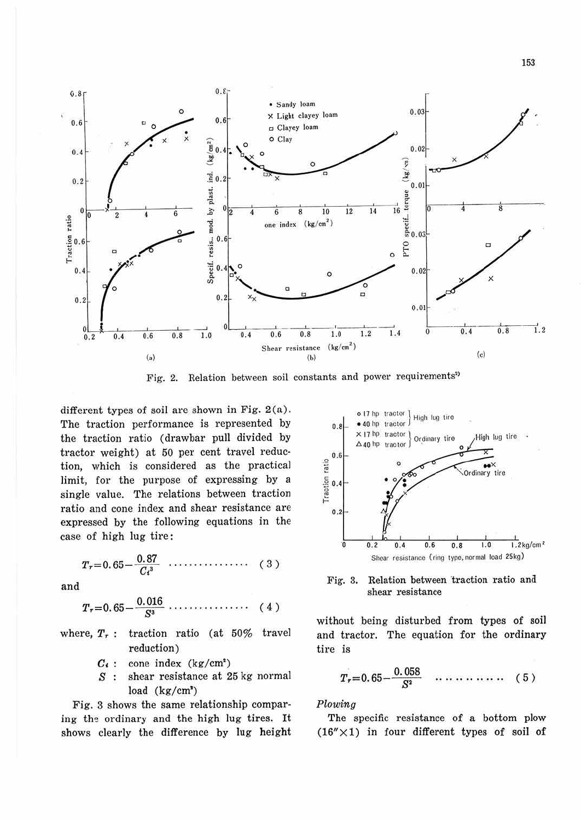

Fig. 2. Relation between soil constants and power requirements<sup>2)</sup>

different types of soil are shown in Fig.  $2(a)$ . The traction performance is represented by the traction ratio (drawbar pull divided by tractor weight) at 50 per cent travel reduction, which is considered as the practical limit, for the purpose of expressing by a single value. The relations between traction ratio and cone index and shear resistance are expressed by the following equations in the case of high lug tire:

$$
T_{r}=0.65-\frac{0.87}{C_{t}^{3}}\cdots\cdots\cdots\cdots(3)
$$

and

$$
T_{r} = 0.65 - \frac{0.016}{S^{3}} \cdots \cdots \cdots \cdots \cdots \quad (4)
$$

- where,  $T_r$ : traction ratio (at 50% travel reduction)
	- $C_i$ : cone index (kg/cm<sup>2</sup>)
	- shear resistance at 25 kg normal  $S$ : load  $(kg/cm<sup>3</sup>)$

Fig. 3 shows the same relationship comparing the ordinary and the high lug tires. It shows clearly the difference by lug height





without being disturbed from types of soil and tractor. The equation for the ordinary tire is

$$
T_r = 0.65 - \frac{0.058}{S^2} \quad \cdots \quad \cdots \quad \cdots \quad (5)
$$

## Plowing

The specific resistance of a bottom plow  $(16'' \times 1)$  in four different types of soil of